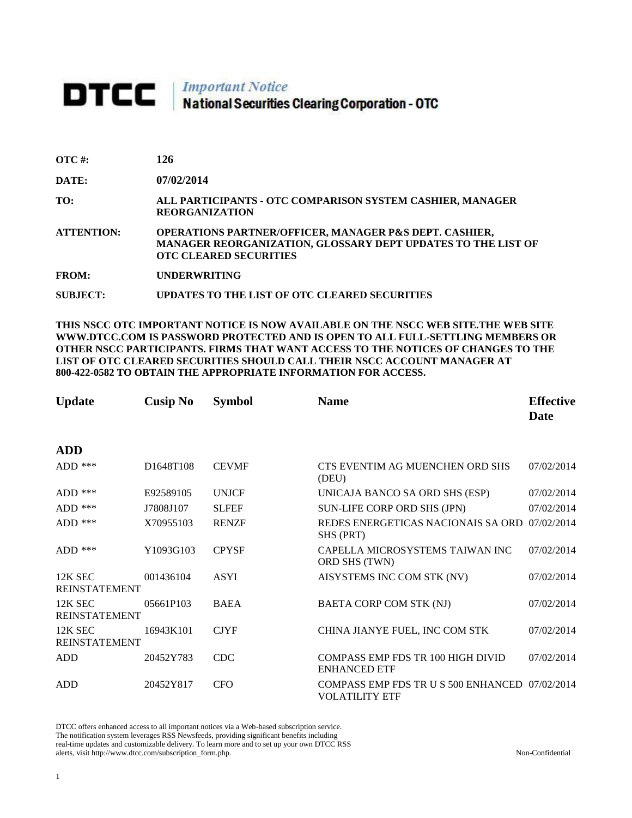## **DTCC** National Securities Clearing Corporation - OTC

| $\overline{OTC}$ #: | 126                                                                                                                                                                |
|---------------------|--------------------------------------------------------------------------------------------------------------------------------------------------------------------|
| DATE:               | 07/02/2014                                                                                                                                                         |
| TO:                 | ALL PARTICIPANTS - OTC COMPARISON SYSTEM CASHIER, MANAGER<br><b>REORGANIZATION</b>                                                                                 |
| <b>ATTENTION:</b>   | <b>OPERATIONS PARTNER/OFFICER, MANAGER P&amp;S DEPT. CASHIER,</b><br>MANAGER REORGANIZATION, GLOSSARY DEPT UPDATES TO THE LIST OF<br><b>OTC CLEARED SECURITIES</b> |

**FROM: UNDERWRITING**

**SUBJECT: UPDATES TO THE LIST OF OTC CLEARED SECURITIES**

**THIS NSCC OTC IMPORTANT NOTICE IS NOW AVAILABLE ON THE NSCC WEB SITE.THE WEB SITE WWW.DTCC.COM IS PASSWORD PROTECTED AND IS OPEN TO ALL FULL-SETTLING MEMBERS OR OTHER NSCC PARTICIPANTS. FIRMS THAT WANT ACCESS TO THE NOTICES OF CHANGES TO THE LIST OF OTC CLEARED SECURITIES SHOULD CALL THEIR NSCC ACCOUNT MANAGER AT 800-422-0582 TO OBTAIN THE APPROPRIATE INFORMATION FOR ACCESS.** 

| <b>Update</b>                   | <b>Cusip No</b> | <b>Symbol</b> | <b>Name</b>                                                             | <b>Effective</b><br>Date |
|---------------------------------|-----------------|---------------|-------------------------------------------------------------------------|--------------------------|
| <b>ADD</b>                      |                 |               |                                                                         |                          |
| ADD $***$                       | D1648T108       | <b>CEVMF</b>  | CTS EVENTIM AG MUENCHEN ORD SHS<br>(DEU)                                | 07/02/2014               |
| ADD $***$                       | E92589105       | <b>UNJCF</b>  | UNICAJA BANCO SA ORD SHS (ESP)                                          | 07/02/2014               |
| $ADD$ ***                       | J7808J107       | <b>SLFEF</b>  | SUN-LIFE CORP ORD SHS (JPN)                                             | 07/02/2014               |
| ADD $***$                       | X70955103       | <b>RENZF</b>  | REDES ENERGETICAS NACIONAIS SA ORD<br>SHS (PRT)                         | 07/02/2014               |
| $ADD$ ***                       | Y1093G103       | <b>CPYSF</b>  | CAPELLA MICROSYSTEMS TAIWAN INC<br>ORD SHS (TWN)                        | 07/02/2014               |
| 12K SEC<br><b>REINSTATEMENT</b> | 001436104       | <b>ASYI</b>   | AISYSTEMS INC COM STK (NV)                                              | 07/02/2014               |
| 12K SEC<br><b>REINSTATEMENT</b> | 05661P103       | <b>BAEA</b>   | BAETA CORP COM STK (NJ)                                                 | 07/02/2014               |
| 12K SEC<br><b>REINSTATEMENT</b> | 16943K101       | <b>CJYF</b>   | CHINA JIANYE FUEL, INC COM STK                                          | 07/02/2014               |
| <b>ADD</b>                      | 20452Y783       | <b>CDC</b>    | <b>COMPASS EMP FDS TR 100 HIGH DIVID</b><br><b>ENHANCED ETF</b>         | 07/02/2014               |
| <b>ADD</b>                      | 20452Y817       | <b>CFO</b>    | COMPASS EMP FDS TR U S 500 ENHANCED 07/02/2014<br><b>VOLATILITY ETF</b> |                          |

DTCC offers enhanced access to all important notices via a Web-based subscription service. The notification system leverages RSS Newsfeeds, providing significant benefits including real-time updates and customizable delivery. To learn more and to set up your own DTCC RSS alerts, visit http://www.dtcc.com/subscription\_form.php. Non-Confidential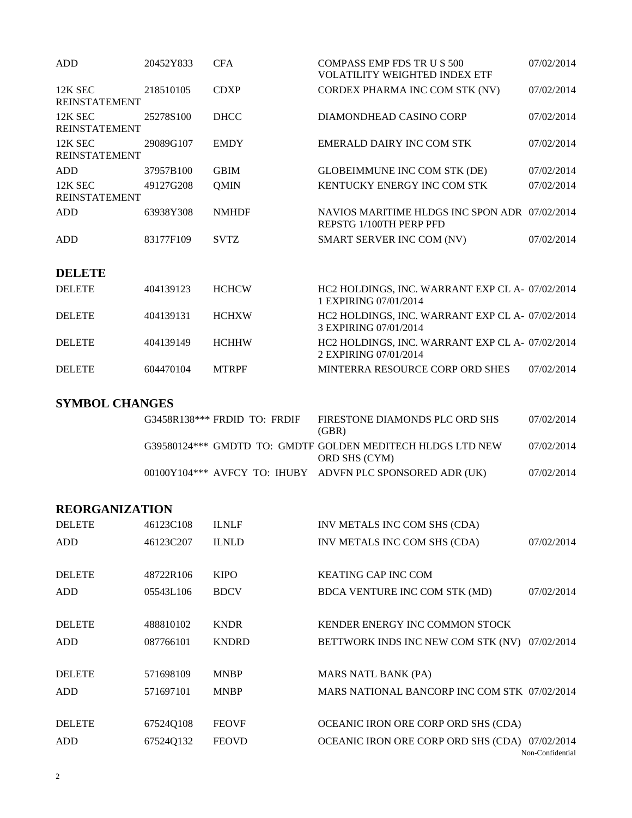| <b>ADD</b>                      | 20452Y833 | <b>CFA</b>   | <b>COMPASS EMP FDS TR U S 500</b><br><b>VOLATILITY WEIGHTED INDEX ETF</b> | 07/02/2014 |
|---------------------------------|-----------|--------------|---------------------------------------------------------------------------|------------|
| 12K SEC<br><b>REINSTATEMENT</b> | 218510105 | <b>CDXP</b>  | CORDEX PHARMA INC COM STK (NV)                                            | 07/02/2014 |
| 12K SEC<br><b>REINSTATEMENT</b> | 25278S100 | <b>DHCC</b>  | DIAMONDHEAD CASINO CORP                                                   | 07/02/2014 |
| 12K SEC<br><b>REINSTATEMENT</b> | 29089G107 | <b>EMDY</b>  | EMERALD DAIRY INC COM STK                                                 | 07/02/2014 |
| <b>ADD</b>                      | 37957B100 | <b>GBIM</b>  | <b>GLOBEIMMUNE INC COM STK (DE)</b>                                       | 07/02/2014 |
| 12K SEC<br><b>REINSTATEMENT</b> | 49127G208 | <b>QMIN</b>  | KENTUCKY ENERGY INC COM STK                                               | 07/02/2014 |
| <b>ADD</b>                      | 63938Y308 | <b>NMHDF</b> | NAVIOS MARITIME HLDGS INC SPON ADR 07/02/2014<br>REPSTG 1/100TH PERP PFD  |            |
| <b>ADD</b>                      | 83177F109 | <b>SVTZ</b>  | SMART SERVER INC COM (NV)                                                 | 07/02/2014 |
| <b>DELETE</b>                   |           |              |                                                                           |            |
| <b>DELETE</b>                   | 404139123 | <b>HCHCW</b> | HC2 HOLDINGS, INC. WARRANT EXP CL A- 07/02/2014<br>1 EXPIRING 07/01/2014  |            |
| <b>DELETE</b>                   | 404139131 | <b>HCHXW</b> | HC2 HOLDINGS, INC. WARRANT EXP CL A- 07/02/2014<br>3 EXPIRING 07/01/2014  |            |
| <b>DELETE</b>                   | 404139149 | <b>HCHHW</b> | HC2 HOLDINGS, INC. WARRANT EXP CL A- 07/02/2014                           |            |

DELETE 604470104 MTRPF MINTERRA RESOURCE CORP ORD SHES 07/02/2014

**SYMBOL CHANGES**

| $G3458R138***$ FRDID TO: FRDIF |  | FIRESTONE DIAMONDS PLC ORD SHS<br>(GBR)                                     | 07/02/2014 |
|--------------------------------|--|-----------------------------------------------------------------------------|------------|
|                                |  | G39580124*** GMDTD TO: GMDTF GOLDEN MEDITECH HLDGS LTD NEW<br>ORD SHS (CYM) | 07/02/2014 |
|                                |  | 00100Y104*** AVFCY TO: IHUBY ADVFN PLC SPONSORED ADR (UK)                   | 07/02/2014 |

2 EXPIRING 07/01/2014

## **REORGANIZATION**

| <b>DELETE</b> | 46123C108 | <b>ILNLF</b> | INV METALS INC COM SHS (CDA)                   |            |
|---------------|-----------|--------------|------------------------------------------------|------------|
| ADD           | 46123C207 | <b>ILNLD</b> | INV METALS INC COM SHS (CDA)                   | 07/02/2014 |
|               |           |              |                                                |            |
| <b>DELETE</b> | 48722R106 | <b>KIPO</b>  | <b>KEATING CAP INC COM</b>                     |            |
| ADD           | 05543L106 | <b>BDCV</b>  | BDCA VENTURE INC COM STK (MD)                  | 07/02/2014 |
|               |           |              |                                                |            |
| <b>DELETE</b> | 488810102 | <b>KNDR</b>  | KENDER ENERGY INC COMMON STOCK                 |            |
| ADD           | 087766101 | <b>KNDRD</b> | BETTWORK INDS INC NEW COM STK (NV) 07/02/2014  |            |
|               |           |              |                                                |            |
| <b>DELETE</b> | 571698109 | <b>MNBP</b>  | MARS NATL BANK (PA)                            |            |
| <b>ADD</b>    | 571697101 | <b>MNBP</b>  | MARS NATIONAL BANCORP INC COM STK 07/02/2014   |            |
|               |           |              |                                                |            |
| <b>DELETE</b> | 67524Q108 | <b>FEOVF</b> | OCEANIC IRON ORE CORP ORD SHS (CDA)            |            |
| ADD           | 67524Q132 | <b>FEOVD</b> | OCEANIC IRON ORE CORP ORD SHS (CDA) 07/02/2014 |            |